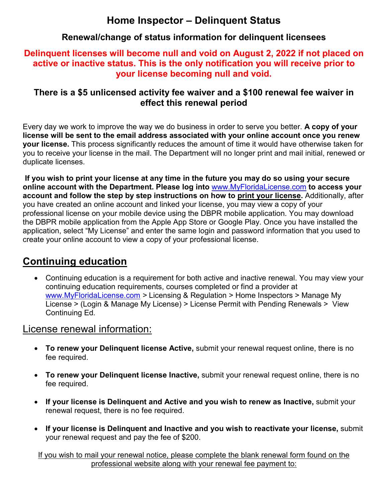# **Home Inspector – Delinquent Status**

## **Renewal/change of status information for delinquent licensees**

### **Delinquent licenses will become null and void on August 2, 2022 if not placed on active or inactive status. This is the only notification you will receive prior to your license becoming null and void.**

### **There is a \$5 unlicensed activity fee waiver and a \$100 renewal fee waiver in effect this renewal period**

Every day we work to improve the way we do business in order to serve you better. **A copy of your license will be sent to the email address associated with your online account once you renew your license.** This process significantly reduces the amount of time it would have otherwise taken for you to receive your license in the mail. The Department will no longer print and mail initial, renewed or duplicate licenses.

**If you wish to print your license at any time in the future you may do so using your secure online account with the Department. Please log into** [www.MyFloridaLicense.com](http://www.myfloridalicense.com/) **to access your account and follow the step by step instructions on how to print your license.** Additionally, after you have created an online account and linked your license, you may view a copy of your professional license on your mobile device using the DBPR mobile application. You may download the DBPR mobile application from the Apple App Store or Google Play. Once you have installed the application, select "My License" and enter the same login and password information that you used to create your online account to view a copy of your professional license.

# **Continuing education**

• Continuing education is a requirement for both active and inactive renewal. You may view your continuing education requirements, courses completed or find a provider at [www.MyFloridaLicense.com](http://www.myfloridalicense.com/) *>* Licensing & Regulation > Home Inspectors > Manage My License > (Login & Manage My License) > License Permit with Pending Renewals > View Continuing Ed*.*

## License renewal information:

- **To renew your Delinquent license Active,** submit your renewal request online, there is no fee required.
- **To renew your Delinquent license Inactive,** submit your renewal request online, there is no fee required.
- **If your license is Delinquent and Active and you wish to renew as Inactive,** submit your renewal request, there is no fee required.
- **If your license is Delinquent and Inactive and you wish to reactivate your license,** submit your renewal request and pay the fee of \$200.

If you wish to mail your renewal notice, please complete the blank renewal form found on the professional website along with your renewal fee payment to: